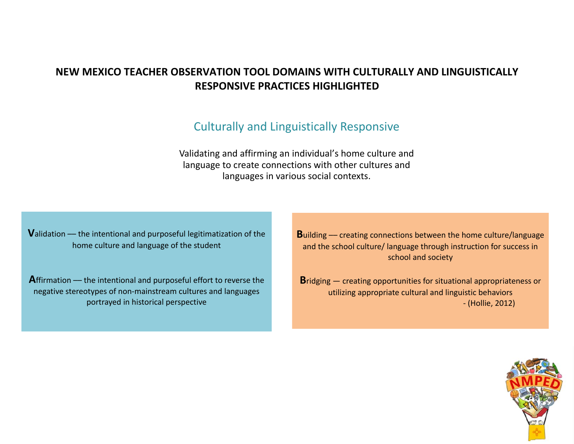# **NEW MEXICO TEACHER OBSERVATION TOOL DOMAINS WITH CULTURALLY AND LINGUISTICALLY RESPONSIVE PRACTICES HIGHLIGHTED**

# Culturally and Linguistically Responsive

Validating and affirming an individual's home culture and language to create connections with other cultures and languages in various social contexts.

**V**alidation –– the intentional and purposeful legitimatization of the home culture and language of the student

Affirmation –– the intentional and purposeful effort to reverse the negative stereotypes of non-mainstream cultures and languages portrayed in historical perspective

**B**uilding –– creating connections between the home culture/language and the school culture/ language through instruction for success in school and society

**B**ridging – creating opportunities for situational appropriateness or utilizing appropriate cultural and linguistic behaviors - (Hollie, 2012)

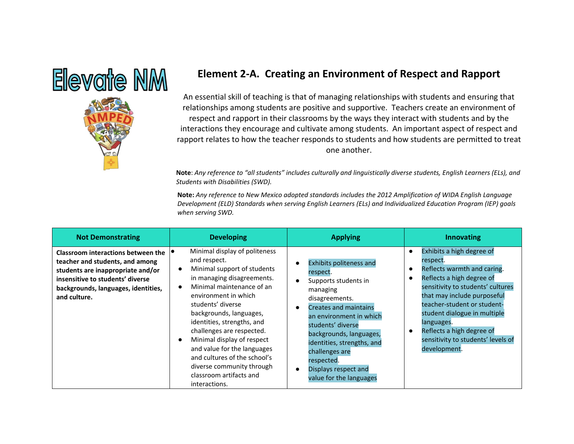

# **Element 2-A. Creating an Environment of Respect and Rapport**

An essential skill of teaching is that of managing relationships with students and ensuring that relationships among students are positive and supportive. Teachers create an environment of respect and rapport in their classrooms by the ways they interact with students and by the interactions they encourage and cultivate among students. An important aspect of respect and rapport relates to how the teacher responds to students and how students are permitted to treat one another.

**Note**: *Any reference to "all students" includes culturally and linguistically diverse students, English Learners (ELs), and Students with Disabilities (SWD).*

| <b>Not Demonstrating</b>                                                                                                                                                                              | <b>Developing</b>                                                                                                                                                                                                                                                                                                                                                                                                                                                                       | <b>Applying</b>                                                                                                                                                                                                                                                                                                              | Innovating                                                                                                                                                                                                                                                                                                                                         |
|-------------------------------------------------------------------------------------------------------------------------------------------------------------------------------------------------------|-----------------------------------------------------------------------------------------------------------------------------------------------------------------------------------------------------------------------------------------------------------------------------------------------------------------------------------------------------------------------------------------------------------------------------------------------------------------------------------------|------------------------------------------------------------------------------------------------------------------------------------------------------------------------------------------------------------------------------------------------------------------------------------------------------------------------------|----------------------------------------------------------------------------------------------------------------------------------------------------------------------------------------------------------------------------------------------------------------------------------------------------------------------------------------------------|
| Classroom interactions between the<br>teacher and students, and among<br>students are inappropriate and/or<br>insensitive to students' diverse<br>backgrounds, languages, identities,<br>and culture. | Minimal display of politeness<br>and respect.<br>Minimal support of students<br>$\bullet$<br>in managing disagreements.<br>Minimal maintenance of an<br>$\bullet$<br>environment in which<br>students' diverse<br>backgrounds, languages,<br>identities, strengths, and<br>challenges are respected.<br>Minimal display of respect<br>$\bullet$<br>and value for the languages<br>and cultures of the school's<br>diverse community through<br>classroom artifacts and<br>interactions. | <b>Exhibits politeness and</b><br>respect.<br>Supports students in<br>managing<br>disagreements.<br><b>Creates and maintains</b><br>an environment in which<br>students' diverse<br>backgrounds, languages,<br>identities, strengths, and<br>challenges are<br>respected.<br>Displays respect and<br>value for the languages | Exhibits a high degree of<br>$\bullet$<br>respect.<br>Reflects warmth and caring.<br>Reflects a high degree of<br>sensitivity to students' cultures<br>that may include purposeful<br>teacher-student or student-<br>student dialogue in multiple<br>languages.<br>Reflects a high degree of<br>sensitivity to students' levels of<br>development. |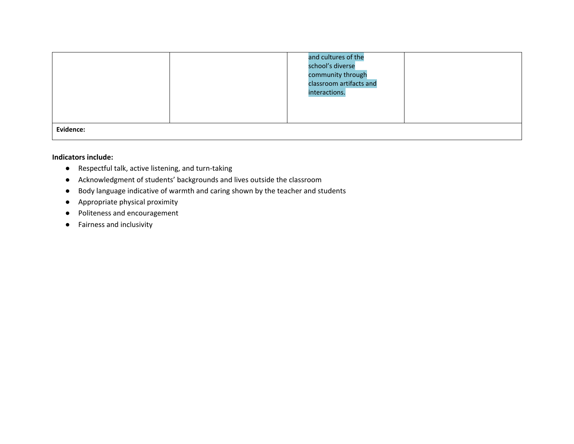|           | and cultures of the<br>school's diverse<br>community through<br>classroom artifacts and<br>interactions. |  |
|-----------|----------------------------------------------------------------------------------------------------------|--|
| Evidence: |                                                                                                          |  |

#### **Indicators include:**

- Respectful talk, active listening, and turn-taking
- Acknowledgment of students' backgrounds and lives outside the classroom
- Body language indicative of warmth and caring shown by the teacher and students
- Appropriate physical proximity
- Politeness and encouragement
- Fairness and inclusivity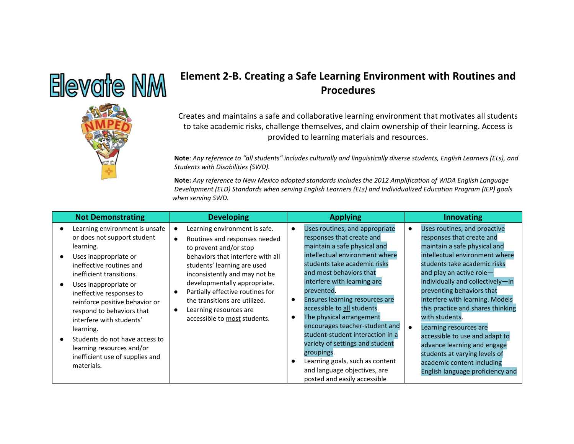

# **Element 2-B. Creating a Safe Learning Environment with Routines and Procedures**

Creates and maintains a safe and collaborative learning environment that motivates all students to take academic risks, challenge themselves, and claim ownership of their learning. Access is provided to learning materials and resources.

**Note**: *Any reference to "all students" includes culturally and linguistically diverse students, English Learners (ELs), and Students with Disabilities (SWD).*

| <b>Not Demonstrating</b>                                                                                                                                                                                                                                                                                                                                                                                                                 | <b>Developing</b>                                                                                                                                                                                                                                                                                                                                                         | <b>Applying</b>                                                                                                                                                                                                                                                                                                                                                                                                                                                                                                                                                                                     | <b>Innovating</b>                                                                                                                                                                                                                                                                                                                                                                                                                                                                                                                                |
|------------------------------------------------------------------------------------------------------------------------------------------------------------------------------------------------------------------------------------------------------------------------------------------------------------------------------------------------------------------------------------------------------------------------------------------|---------------------------------------------------------------------------------------------------------------------------------------------------------------------------------------------------------------------------------------------------------------------------------------------------------------------------------------------------------------------------|-----------------------------------------------------------------------------------------------------------------------------------------------------------------------------------------------------------------------------------------------------------------------------------------------------------------------------------------------------------------------------------------------------------------------------------------------------------------------------------------------------------------------------------------------------------------------------------------------------|--------------------------------------------------------------------------------------------------------------------------------------------------------------------------------------------------------------------------------------------------------------------------------------------------------------------------------------------------------------------------------------------------------------------------------------------------------------------------------------------------------------------------------------------------|
| Learning environment is unsafe<br>or does not support student<br>learning.<br>Uses inappropriate or<br>ineffective routines and<br>inefficient transitions.<br>Uses inappropriate or<br>ineffective responses to<br>reinforce positive behavior or<br>respond to behaviors that<br>interfere with students'<br>learning.<br>Students do not have access to<br>learning resources and/or<br>inefficient use of supplies and<br>materials. | Learning environment is safe.<br>$\bullet$<br>Routines and responses needed<br>to prevent and/or stop<br>behaviors that interfere with all<br>students' learning are used<br>inconsistently and may not be<br>developmentally appropriate.<br>Partially effective routines for<br>the transitions are utilized.<br>Learning resources are<br>accessible to most students. | Uses routines, and appropriate<br>$\bullet$<br>responses that create and<br>maintain a safe physical and<br>intellectual environment where<br>students take academic risks<br>and most behaviors that<br>interfere with learning are<br>prevented.<br>Ensures learning resources are<br>$\bullet$<br>accessible to all students.<br>The physical arrangement<br>$\bullet$<br>encourages teacher-student and<br>student-student interaction in a<br>variety of settings and student<br>groupings.<br>Learning goals, such as content<br>and language objectives, are<br>posted and easily accessible | Uses routines, and proactive<br>responses that create and<br>maintain a safe physical and<br>intellectual environment where<br>students take academic risks<br>and play an active role-<br>individually and collectively-in<br>preventing behaviors that<br>interfere with learning. Models<br>this practice and shares thinking<br>with students.<br>Learning resources are<br>accessible to use and adapt to<br>advance learning and engage<br>students at varying levels of<br>academic content including<br>English language proficiency and |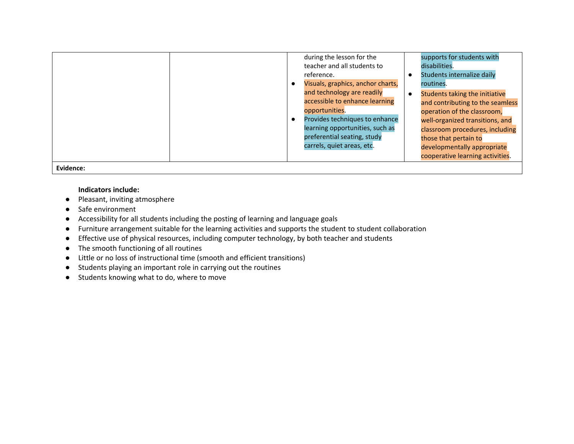|           | during the lesson for the<br>teacher and all students to<br>reference.<br>Visuals, graphics, anchor charts,<br>and technology are readily<br>accessible to enhance learning<br>opportunities.<br>Provides techniques to enhance<br>learning opportunities, such as<br>preferential seating, study | supports for students with<br>disabilities.<br>Students internalize daily<br>routines.<br>Students taking the initiative<br>and contributing to the seamless<br>operation of the classroom,<br>well-organized transitions, and<br>classroom procedures, including<br>those that pertain to |
|-----------|---------------------------------------------------------------------------------------------------------------------------------------------------------------------------------------------------------------------------------------------------------------------------------------------------|--------------------------------------------------------------------------------------------------------------------------------------------------------------------------------------------------------------------------------------------------------------------------------------------|
|           |                                                                                                                                                                                                                                                                                                   |                                                                                                                                                                                                                                                                                            |
|           | carrels, quiet areas, etc.                                                                                                                                                                                                                                                                        | developmentally appropriate                                                                                                                                                                                                                                                                |
|           |                                                                                                                                                                                                                                                                                                   | cooperative learning activities.                                                                                                                                                                                                                                                           |
| Evidence: |                                                                                                                                                                                                                                                                                                   |                                                                                                                                                                                                                                                                                            |

#### **Indicators include:**

- Pleasant, inviting atmosphere
- Safe environment
- Accessibility for all students including the posting of learning and language goals
- Furniture arrangement suitable for the learning activities and supports the student to student collaboration
- Effective use of physical resources, including computer technology, by both teacher and students
- The smooth functioning of all routines
- Little or no loss of instructional time (smooth and efficient transitions)
- Students playing an important role in carrying out the routines
- Students knowing what to do, where to move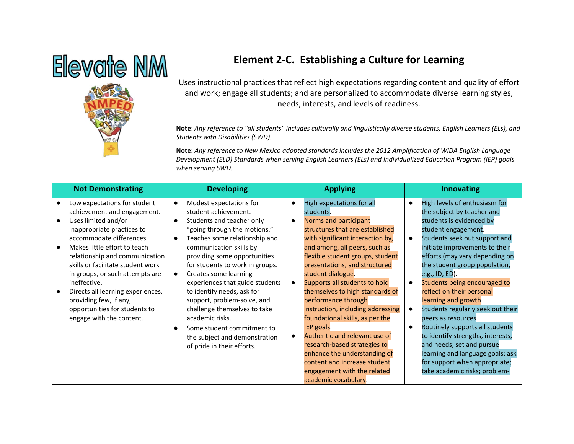# Elevate NM



# **Element 2-C. Establishing a Culture for Learning**

Uses instructional practices that reflect high expectations regarding content and quality of effort and work; engage all students; and are personalized to accommodate diverse learning styles, needs, interests, and levels of readiness.

**Note**: *Any reference to "all students" includes culturally and linguistically diverse students, English Learners (ELs), and Students with Disabilities (SWD).*

| <b>Not Demonstrating</b>                                                                                                                                                                                                                                                                                                                                                                                                           | <b>Developing</b>                                                                                                                                                                                                                                                                                                                                                                                                                                                                                                                                                | <b>Applying</b>                                                                                                                                                                                                                                                                                                                                                                                                                                                                                                                                                                                         | <b>Innovating</b>                                                                                                                                                                                                                                                                                                                                                                                                                                                                                                                                                             |
|------------------------------------------------------------------------------------------------------------------------------------------------------------------------------------------------------------------------------------------------------------------------------------------------------------------------------------------------------------------------------------------------------------------------------------|------------------------------------------------------------------------------------------------------------------------------------------------------------------------------------------------------------------------------------------------------------------------------------------------------------------------------------------------------------------------------------------------------------------------------------------------------------------------------------------------------------------------------------------------------------------|---------------------------------------------------------------------------------------------------------------------------------------------------------------------------------------------------------------------------------------------------------------------------------------------------------------------------------------------------------------------------------------------------------------------------------------------------------------------------------------------------------------------------------------------------------------------------------------------------------|-------------------------------------------------------------------------------------------------------------------------------------------------------------------------------------------------------------------------------------------------------------------------------------------------------------------------------------------------------------------------------------------------------------------------------------------------------------------------------------------------------------------------------------------------------------------------------|
| Low expectations for student<br>achievement and engagement.<br>Uses limited and/or<br>inappropriate practices to<br>accommodate differences.<br>Makes little effort to teach<br>relationship and communication<br>skills or facilitate student work<br>in groups, or such attempts are<br>ineffective.<br>Directs all learning experiences,<br>providing few, if any,<br>opportunities for students to<br>engage with the content. | Modest expectations for<br>$\bullet$<br>student achievement.<br>Students and teacher only<br>$\bullet$<br>"going through the motions."<br>Teaches some relationship and<br>$\bullet$<br>communication skills by<br>providing some opportunities<br>for students to work in groups.<br>Creates some learning<br>experiences that guide students<br>to identify needs, ask for<br>support, problem-solve, and<br>challenge themselves to take<br>academic risks.<br>Some student commitment to<br>О<br>the subject and demonstration<br>of pride in their efforts. | High expectations for all<br>$\bullet$<br>students.<br>Norms and participant<br>$\bullet$<br>structures that are established<br>with significant interaction by,<br>and among, all peers, such as<br>flexible student groups, student<br>presentations, and structured<br>student dialogue.<br>Supports all students to hold<br>$\bullet$<br>themselves to high standards of<br>performance through<br>instruction, including addressing<br>foundational skills, as per the<br>IEP goals.<br>Authentic and relevant use of<br>$\bullet$<br>research-based strategies to<br>enhance the understanding of | High levels of enthusiasm for<br>$\bullet$<br>the subject by teacher and<br>students is evidenced by<br>student engagement.<br>Students seek out support and<br>initiate improvements to their<br>efforts (may vary depending on<br>the student group population,<br>e.g., ID, ED).<br>Students being encouraged to<br>reflect on their personal<br>learning and growth.<br>Students regularly seek out their<br>peers as resources.<br>Routinely supports all students<br>to identify strengths, interests,<br>and needs; set and pursue<br>learning and language goals; ask |
|                                                                                                                                                                                                                                                                                                                                                                                                                                    |                                                                                                                                                                                                                                                                                                                                                                                                                                                                                                                                                                  | content and increase student<br>engagement with the related<br>academic vocabulary.                                                                                                                                                                                                                                                                                                                                                                                                                                                                                                                     | for support when appropriate;<br>take academic risks; problem-                                                                                                                                                                                                                                                                                                                                                                                                                                                                                                                |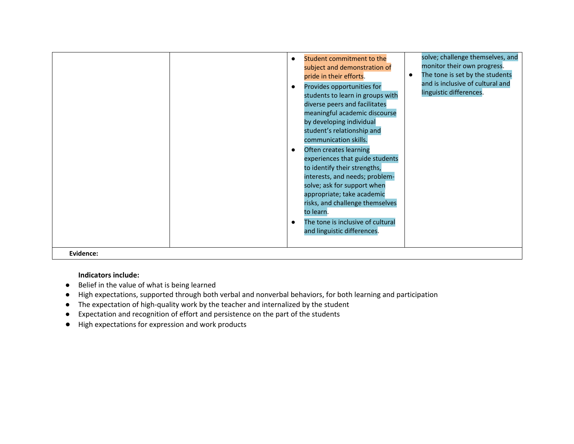|           | $\bullet$<br>$\bullet$ | Student commitment to the<br>subject and demonstration of<br>pride in their efforts.<br>Provides opportunities for<br>students to learn in groups with<br>diverse peers and facilitates<br>meaningful academic discourse<br>by developing individual<br>student's relationship and<br>communication skills.<br>Often creates learning<br>experiences that guide students<br>to identify their strengths,<br>interests, and needs; problem-<br>solve; ask for support when<br>appropriate; take academic<br>risks, and challenge themselves<br>to learn.<br>The tone is inclusive of cultural<br>and linguistic differences. | solve; challenge themselves, and<br>monitor their own progress.<br>The tone is set by the students<br>$\bullet$<br>and is inclusive of cultural and<br>linguistic differences. |
|-----------|------------------------|-----------------------------------------------------------------------------------------------------------------------------------------------------------------------------------------------------------------------------------------------------------------------------------------------------------------------------------------------------------------------------------------------------------------------------------------------------------------------------------------------------------------------------------------------------------------------------------------------------------------------------|--------------------------------------------------------------------------------------------------------------------------------------------------------------------------------|
| Evidence: |                        |                                                                                                                                                                                                                                                                                                                                                                                                                                                                                                                                                                                                                             |                                                                                                                                                                                |

### **Indicators include:**

- Belief in the value of what is being learned
- High expectations, supported through both verbal and nonverbal behaviors, for both learning and participation
- The expectation of high-quality work by the teacher and internalized by the student
- Expectation and recognition of effort and persistence on the part of the students
- High expectations for expression and work products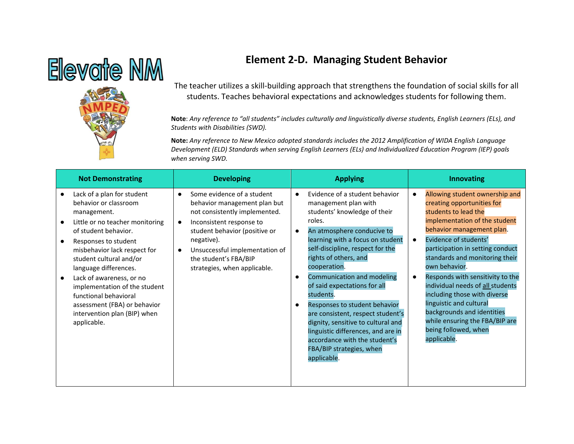## **Element 2-D. Managing Student Behavior**



The teacher utilizes a skill-building approach that strengthens the foundation of social skills for all students. Teaches behavioral expectations and acknowledges students for following them.

**Note**: *Any reference to "all students" includes culturally and linguistically diverse students, English Learners (ELs), and Students with Disabilities (SWD).*

| <b>Not Demonstrating</b>                                                                                                                                                                                                                                                                                                                                                                                       | <b>Developing</b>                                                                                                                                                                                                                                                              | <b>Applying</b>                                                                                                                                                                                                                                                                                                                                                                                                                                                                                                                                                                                              | <b>Innovating</b>                                                                                                                                                                                                                                                                                                                                                                                                                                                                                                         |
|----------------------------------------------------------------------------------------------------------------------------------------------------------------------------------------------------------------------------------------------------------------------------------------------------------------------------------------------------------------------------------------------------------------|--------------------------------------------------------------------------------------------------------------------------------------------------------------------------------------------------------------------------------------------------------------------------------|--------------------------------------------------------------------------------------------------------------------------------------------------------------------------------------------------------------------------------------------------------------------------------------------------------------------------------------------------------------------------------------------------------------------------------------------------------------------------------------------------------------------------------------------------------------------------------------------------------------|---------------------------------------------------------------------------------------------------------------------------------------------------------------------------------------------------------------------------------------------------------------------------------------------------------------------------------------------------------------------------------------------------------------------------------------------------------------------------------------------------------------------------|
| Lack of a plan for student<br>behavior or classroom<br>management.<br>Little or no teacher monitoring<br>of student behavior.<br>Responses to student<br>misbehavior lack respect for<br>student cultural and/or<br>language differences.<br>Lack of awareness, or no<br>implementation of the student<br>functional behavioral<br>assessment (FBA) or behavior<br>intervention plan (BIP) when<br>applicable. | Some evidence of a student<br>$\bullet$<br>behavior management plan but<br>not consistently implemented.<br>Inconsistent response to<br>student behavior (positive or<br>negative).<br>Unsuccessful implementation of<br>the student's FBA/BIP<br>strategies, when applicable. | Evidence of a student behavior<br>$\bullet$<br>management plan with<br>students' knowledge of their<br>roles.<br>An atmosphere conducive to<br>$\bullet$<br>learning with a focus on student<br>self-discipline, respect for the<br>rights of others, and<br>cooperation.<br>Communication and modeling<br>$\bullet$<br>of said expectations for all<br>students.<br>Responses to student behavior<br>$\bullet$<br>are consistent, respect student's<br>dignity, sensitive to cultural and<br>linguistic differences, and are in<br>accordance with the student's<br>FBA/BIP strategies, when<br>applicable. | Allowing student ownership and<br>creating opportunities for<br>students to lead the<br>implementation of the student<br>behavior management plan.<br>Evidence of students'<br>$\bullet$<br>participation in setting conduct<br>standards and monitoring their<br>own behavior.<br>Responds with sensitivity to the<br>individual needs of all students<br>including those with diverse<br>linguistic and cultural<br>backgrounds and identities<br>while ensuring the FBA/BIP are<br>being followed, when<br>applicable. |